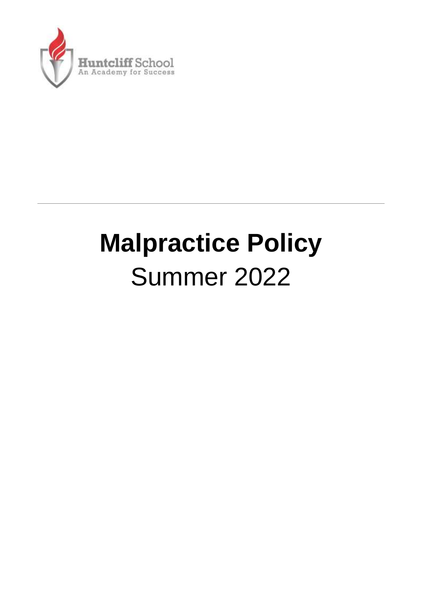

# **Malpractice Policy** Summer 2022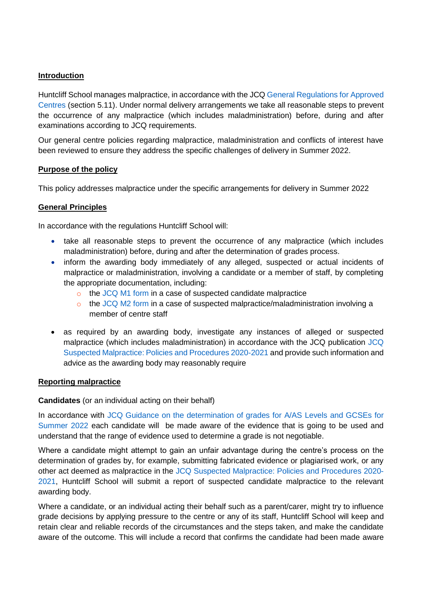### **Introduction**

Huntcliff School manages malpractice, in accordance with the JC[Q General Regulations for Approved](https://www.jcq.org.uk/exams-office/general-regulations/)  [Centres](https://www.jcq.org.uk/exams-office/general-regulations/) (section 5.11). Under normal delivery arrangements we take all reasonable steps to prevent the occurrence of any malpractice (which includes maladministration) before, during and after examinations according to JCQ requirements.

Our general centre policies regarding malpractice, maladministration and conflicts of interest have been reviewed to ensure they address the specific challenges of delivery in Summer 2022.

#### **Purpose of the policy**

This policy addresses malpractice under the specific arrangements for delivery in Summer 2022

#### **General Principles**

In accordance with the regulations Huntcliff School will:

- take all reasonable steps to prevent the occurrence of any malpractice (which includes maladministration) before, during and after the determination of grades process.
- inform the awarding body immediately of any alleged, suspected or actual incidents of malpractice or maladministration, involving a candidate or a member of staff, by completing the appropriate documentation, including:
	- o the [JCQ M1 form](https://www.jcq.org.uk/exams-office/malpractice/) in a case of suspected candidate malpractice
	- $\circ$  the [JCQ M2 form](https://www.jcq.org.uk/exams-office/malpractice/) in a case of suspected malpractice/maladministration involving a member of centre staff
- as required by an awarding body, investigate any instances of alleged or suspected malpractice (which includes maladministration) in accordance with the JCQ publication [JCQ](https://www.jcq.org.uk/exams-office/malpractice/)  [Suspected Malpractice: Policies and Procedures 2020-2021](https://www.jcq.org.uk/exams-office/malpractice/) and provide such information and advice as the awarding body may reasonably require

#### **Reporting malpractice**

#### **Candidates** (or an individual acting on their behalf)

In accordance with JCQ Guidance on the determination of grades for A/AS Levels and GCSEs for [Summer 2022](https://www.jcq.org.uk/summer-2021-arrangements/) each candidate will be made aware of the evidence that is going to be used and understand that the range of evidence used to determine a grade is not negotiable.

Where a candidate might attempt to gain an unfair advantage during the centre's process on the determination of grades by, for example, submitting fabricated evidence or plagiarised work, or any other act deemed as malpractice in the [JCQ Suspected Malpractice: Policies and Procedures 2020-](https://www.jcq.org.uk/exams-office/malpractice/) [2021,](https://www.jcq.org.uk/exams-office/malpractice/) Huntcliff School will submit a report of suspected candidate malpractice to the relevant awarding body.

Where a candidate, or an individual acting their behalf such as a parent/carer, might try to influence grade decisions by applying pressure to the centre or any of its staff, Huntcliff School will keep and retain clear and reliable records of the circumstances and the steps taken, and make the candidate aware of the outcome. This will include a record that confirms the candidate had been made aware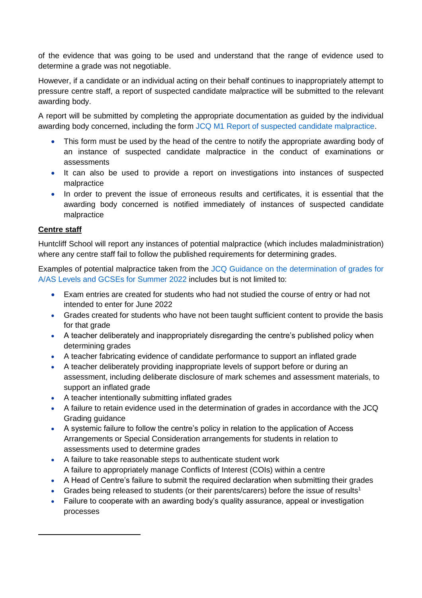of the evidence that was going to be used and understand that the range of evidence used to determine a grade was not negotiable.

However, if a candidate or an individual acting on their behalf continues to inappropriately attempt to pressure centre staff, a report of suspected candidate malpractice will be submitted to the relevant awarding body.

A report will be submitted by completing the appropriate documentation as guided by the individual awarding body concerned, including the form [JCQ M1 Report of suspected candidate malpractice.](https://www.jcq.org.uk/exams-office/malpractice/)

- This form must be used by the head of the centre to notify the appropriate awarding body of an instance of suspected candidate malpractice in the conduct of examinations or assessments
- It can also be used to provide a report on investigations into instances of suspected malpractice
- In order to prevent the issue of erroneous results and certificates, it is essential that the awarding body concerned is notified immediately of instances of suspected candidate malpractice

## **Centre staff**

l

Huntcliff School will report any instances of potential malpractice (which includes maladministration) where any centre staff fail to follow the published requirements for determining grades.

Examples of potential malpractice taken from the [JCQ Guidance on the determination of grades for](https://www.jcq.org.uk/summer-2021-arrangements/)  A/AS [Levels and GCSEs for Summer 2022](https://www.jcq.org.uk/summer-2021-arrangements/) includes but is not limited to:

- Exam entries are created for students who had not studied the course of entry or had not intended to enter for June 2022
- Grades created for students who have not been taught sufficient content to provide the basis for that grade
- A teacher deliberately and inappropriately disregarding the centre's published policy when determining grades
- A teacher fabricating evidence of candidate performance to support an inflated grade
- A teacher deliberately providing inappropriate levels of support before or during an assessment, including deliberate disclosure of mark schemes and assessment materials, to support an inflated grade
- A teacher intentionally submitting inflated grades
- A failure to retain evidence used in the determination of grades in accordance with the JCQ Grading guidance
- A systemic failure to follow the centre's policy in relation to the application of Access Arrangements or Special Consideration arrangements for students in relation to assessments used to determine grades
- A failure to take reasonable steps to authenticate student work A failure to appropriately manage Conflicts of Interest (COIs) within a centre
- A Head of Centre's failure to submit the required declaration when submitting their grades
- Grades being released to students (or their parents/carers) before the issue of results<sup>1</sup>
- Failure to cooperate with an awarding body's quality assurance, appeal or investigation processes